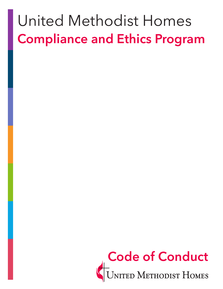# United Methodist Homes **Compliance and Ethics Program**

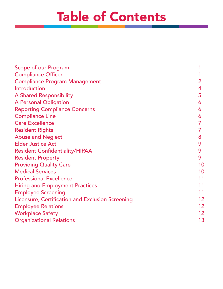# Table of Contents

| Scope of our Program                             |    |
|--------------------------------------------------|----|
| <b>Compliance Officer</b>                        |    |
| <b>Compliance Program Management</b>             | 2  |
| Introduction                                     | 4  |
| <b>A Shared Responsibility</b>                   | 5  |
| <b>A Personal Obligation</b>                     | 6  |
| <b>Reporting Compliance Concerns</b>             | 6  |
| <b>Compliance Line</b>                           | 6  |
| <b>Care Excellence</b>                           |    |
| <b>Resident Rights</b>                           |    |
| <b>Abuse and Neglect</b>                         | 8  |
| <b>Elder Justice Act</b>                         | 9  |
| <b>Resident Confidentiality/HIPAA</b>            | 9  |
| <b>Resident Property</b>                         | 9  |
| <b>Providing Quality Care</b>                    | 10 |
| <b>Medical Services</b>                          | 10 |
| <b>Professional Excellence</b>                   | 11 |
| <b>Hiring and Employment Practices</b>           | 11 |
| <b>Employee Screening</b>                        | 11 |
| Licensure, Certification and Exclusion Screening | 12 |
| <b>Employee Relations</b>                        | 12 |
| <b>Workplace Safety</b>                          | 12 |
| <b>Organizational Relations</b>                  | 13 |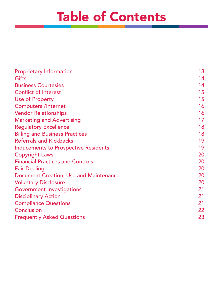# Table of Contents

| <b>Proprietary Information</b>              | 13 |
|---------------------------------------------|----|
| <b>Gifts</b>                                | 14 |
| <b>Business Courtesies</b>                  | 14 |
| <b>Conflict of Interest</b>                 | 15 |
| <b>Use of Property</b>                      | 15 |
| <b>Computers /Internet</b>                  | 16 |
| <b>Vendor Relationships</b>                 | 16 |
| <b>Marketing and Advertising</b>            | 17 |
| <b>Regulatory Excellence</b>                | 18 |
| <b>Billing and Business Practices</b>       | 18 |
| <b>Referrals and Kickbacks</b>              | 19 |
| <b>Inducements to Prospective Residents</b> | 19 |
| <b>Copyright Laws</b>                       | 20 |
| <b>Financial Practices and Controls</b>     | 20 |
| <b>Fair Dealing</b>                         | 20 |
| Document Creation, Use and Maintenance      | 20 |
| <b>Voluntary Disclosure</b>                 | 20 |
| <b>Government Investigations</b>            | 21 |
| <b>Disciplinary Action</b>                  | 21 |
| <b>Compliance Questions</b>                 | 21 |
| Conclusion                                  | 22 |
| <b>Frequently Asked Questions</b>           | 23 |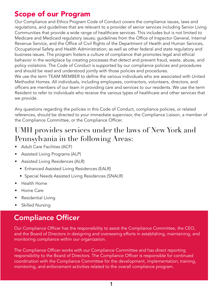### Scope of our Program

Our Compliance and Ethics Program Code of Conduct covers the compliance issues, laws and regulations, and guidelines that are relevant to a provider of senior services including Senior Living Communities that provide a wide range of healthcare services. This includes but is not limited to Medicare and Medicaid regulatory issues; guidelines from the Office of Inspector General, Internal Revenue Service, and the Office of Civil Rights of the Department of Health and Human Services, Occupational Safety and Health Administration; as well as other federal and state regulatory and business issues. The program fosters a culture of compliance that promotes legal and ethical behavior in the workplace by creating processes that detect and prevent fraud, waste, abuse, and policy violations. The Code of Conduct is supported by our compliance policies and procedures and should be read and understood jointly with those policies and procedures. We use the term TEAM MEMBER to define the various individuals who are associated with United Methodist Homes. All individuals, including employees, contractors, volunteers, directors, and

officers are members of our team in providing care and services to our residents. We use the term Resident to refer to individuals who receive the various types of healthcare and other services that we provide.

Any questions regarding the policies in this Code of Conduct, compliance policies, or related references, should be directed to your immediate supervisor, the Compliance Liaison, a member of the Compliance Committee, or the Compliance Officer.

#### UMH provides services under the laws of New York and Pennsylvania in the following Areas:

- Adult Care Facilities (ACF)
- Assisted Living Programs (ALP)
- Assisted Living Residences (ALR)
	- Enhanced Assisted Living Residences (EALR)
	- Special Needs Assisted Living Residences (SNALR)
- Health Home
- Home Care
- Residential Living
- Skilled Nursing

# Compliance Officer

Our Compliance Officer has the responsibility to assist the Compliance Committee, the CEO, and the Board of Directors in designing and overseeing efforts in establishing, maintaining, and monitoring compliance within our organization.

The Compliance Officer works with our Compliance Committee and has direct reporting responsibility to the Board of Directors. The Compliance Officer is responsible for continued coordination with the Compliance Committee for the development, implementation, training, monitoring, and enforcement activities related to the overall compliance program.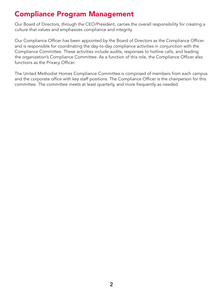#### Compliance Program Management

Our Board of Directors, through the CEO/President, carries the overall responsibility for creating a culture that values and emphasizes compliance and integrity.

Our Compliance Officer has been appointed by the Board of Directors as the Compliance Officer and is responsible for coordinating the day-to-day compliance activities in conjunction with the Compliance Committee. These activities include audits, responses to hotline calls, and leading the organization's Compliance Committee. As a function of this role, the Compliance Officer also functions as the Privacy Officer.

The United Methodist Homes Compliance Committee is comprised of members from each campus and the corporate office with key staff positions. The Compliance Officer is the chairperson for this committee. The committee meets at least quarterly, and more frequently as needed.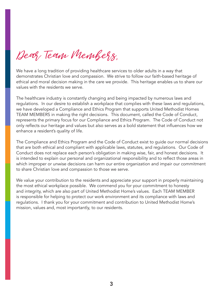Dear Team Members,

We have a long tradition of providing healthcare services to older adults in a way that demonstrates Christian love and compassion. We strive to follow our faith-based heritage of ethical and moral decision making in the care we provide. This heritage enables us to share our values with the residents we serve.

The healthcare industry is constantly changing and being impacted by numerous laws and regulations. In our desire to establish a workplace that complies with these laws and regulations, we have developed a Compliance and Ethics Program that supports United Methodist Homes TEAM MEMBERS in making the right decisions. This document, called the Code of Conduct, represents the primary focus for our Compliance and Ethics Program. The Code of Conduct not only reflects our heritage and values but also serves as a bold statement that influences how we enhance a resident's quality of life.

The Compliance and Ethics Program and the Code of Conduct exist to guide our normal decisions that are both ethical and compliant with applicable laws, statutes, and regulations. Our Code of Conduct does not replace each person's obligation in making wise, fair, and honest decisions. It is intended to explain our personal and organizational responsibility and to reflect those areas in which improper or unwise decisions can harm our entire organization and impair our commitment to share Christian love and compassion to those we serve.

We value your contribution to the residents and appreciate your support in properly maintaining the most ethical workplace possible. We commend you for your commitment to honesty and integrity, which are also part of United Methodist Home's values. Each TEAM MEMBER is responsible for helping to protect our work environment and its compliance with laws and regulations. I thank you for your commitment and contribution to United Methodist Home's mission, values and, most importantly, to our residents.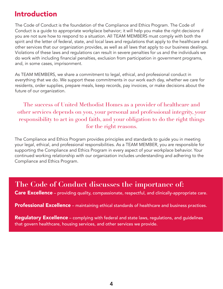#### Introduction

The Code of Conduct is the foundation of the Compliance and Ethics Program. The Code of Conduct is a guide to appropriate workplace behavior; it will help you make the right decisions if you are not sure how to respond to a situation. All TEAM MEMBERS must comply with both the spirit and the letter of federal, state, and local laws and regulations that apply to the healthcare and other services that our organization provides, as well as all laws that apply to our business dealings. Violations of these laws and regulations can result in severe penalties for us and the individuals we do work with including financial penalties, exclusion from participation in government programs, and, in some cases, imprisonment.

As TEAM MEMBERS, we share a commitment to legal, ethical, and professional conduct in everything that we do. We support these commitments in our work each day, whether we care for residents, order supplies, prepare meals, keep records, pay invoices, or make decisions about the future of our organization.

The success of United Methodist Homes as a provider of healthcare and other services depends on you, your personal and professional integrity, your responsibility to act in good faith, and your obligation to do the right things for the right reasons.

The Compliance and Ethics Program provides principles and standards to guide you in meeting your legal, ethical, and professional responsibilities. As a TEAM MEMBER, you are responsible for supporting the Compliance and Ethics Program in every aspect of your workplace behavior. Your continued working relationship with our organization includes understanding and adhering to the Compliance and Ethics Program.

#### **The Code of Conduct discusses the importance of:**

Care Excellence – providing quality, compassionate, respectful, and clinically-appropriate care.

Professional Excellence – maintaining ethical standards of healthcare and business practices.

Regulatory Excellence - complying with federal and state laws, regulations, and guidelines that govern healthcare, housing services, and other services we provide.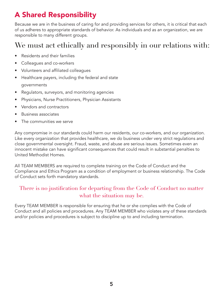# A Shared Responsibility

Because we are in the business of caring for and providing services for others, it is critical that each of us adheres to appropriate standards of behavior. As individuals and as an organization, we are responsible to many different groups.

### We must act ethically and responsibly in our relations with:

- Residents and their families
- Colleagues and co-workers
- Volunteers and affiliated colleagues
- Healthcare payers, including the federal and state governments
- Regulators, surveyors, and monitoring agencies
- Physicians, Nurse Practitioners, Physician Assistants
- Vendors and contractors
- Business associates
- The communities we serve

Any compromise in our standards could harm our residents, our co-workers, and our organization. Like every organization that provides healthcare, we do business under very strict regulations and close governmental oversight. Fraud, waste, and abuse are serious issues. Sometimes even an innocent mistake can have significant consequences that could result in substantial penalties to United Methodist Homes.

All TEAM MEMBERS are required to complete training on the Code of Conduct and the Compliance and Ethics Program as a condition of employment or business relationship. The Code of Conduct sets forth mandatory standards.

#### There is no justification for departing from the Code of Conduct no matter what the situation may be.

Every TEAM MEMBER is responsible for ensuring that he or she complies with the Code of Conduct and all policies and procedures. Any TEAM MEMBER who violates any of these standards and/or policies and procedures is subject to discipline up to and including termination.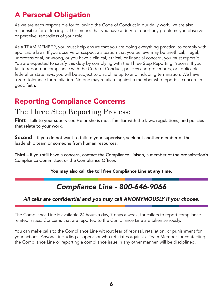# A Personal Obligation

As we are each responsible for following the Code of Conduct in our daily work, we are also responsible for enforcing it. This means that you have a duty to report any problems you observe or perceive, regardless of your role.

As a TEAM MEMBER, you must help ensure that you are doing everything practical to comply with applicable laws. If you observe or suspect a situation that you believe may be unethical, illegal, unprofessional, or wrong, or you have a clinical, ethical, or financial concern, you must report it. You are expected to satisfy this duty by complying with the Three Step Reporting Process. If you fail to report noncompliance with the Code of Conduct, policies and procedures, or applicable federal or state laws, you will be subject to discipline up to and including termination. We have a zero tolerance for retaliation. No one may retaliate against a member who reports a concern in good faith.

# Reporting Compliance Concerns

#### The Three Step Reporting Process:

**First** – talk to your supervisor. He or she is most familiar with the laws, regulations, and policies that relate to your work.

**Second** – if you do not want to talk to your supervisor, seek out another member of the leadership team or someone from human resources.

Third – if you still have a concern, contact the Compliance Liaison, a member of the organization's Compliance Committee, or the Compliance Officer.

You may also call the toll free Compliance Line at any time.

## *Compliance Line - 800-646-9066*

#### All calls are confidential and you may call ANONYMOUSLY if you choose.

The Compliance Line is available 24 hours a day, 7 days a week, for callers to report compliancerelated issues. Concerns that are reported to the Compliance Line are taken seriously.

You can make calls to the Compliance Line without fear of reprisal, retaliation, or punishment for your actions. Anyone, including a supervisor who retaliates against a Team Member for contacting the Compliance Line or reporting a compliance issue in any other manner, will be disciplined.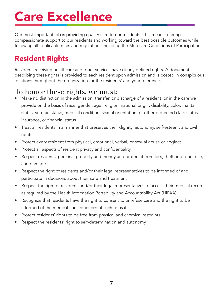# Care Excellence

Our most important job is providing quality care to our residents. This means offering compassionate support to our residents and working toward the best possible outcomes while following all applicable rules and regulations including the Medicare Conditions of Participation.

# Resident Rights

Residents receiving healthcare and other services have clearly defined rights. A document describing these rights is provided to each resident upon admission and is posted in conspicuous locations throughout the organization for the residents' and your reference.

#### To honor these rights, we must:

- Make no distinction in the admission, transfer, or discharge of a resident, or in the care we provide on the basis of race, gender, age, religion, national origin, disability, color, marital status, veteran status, medical condition, sexual orientation, or other protected class status, insurance, or financial status
- Treat all residents in a manner that preserves their dignity, autonomy, self-esteem, and civil rights
- Protect every resident from physical, emotional, verbal, or sexual abuse or neglect
- Protect all aspects of resident privacy and confidentiality
- Respect residents' personal property and money and protect it from loss, theft, improper use, and damage
- Respect the right of residents and/or their legal representatives to be informed of and participate in decisions about their care and treatment
- Respect the right of residents and/or their legal representatives to access their medical records as required by the Health Information Portability and Accountability Act (HIPAA)
- Recognize that residents have the right to consent to or refuse care and the right to be informed of the medical consequences of such refusal
- Protect residents' rights to be free from physical and chemical restraints
- Respect the residents' right to self-determination and autonomy.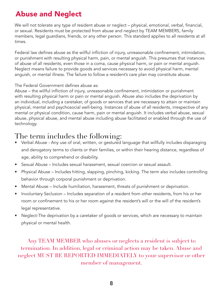# Abuse and Neglect

We will not tolerate any type of resident abuse or neglect – physical, emotional, verbal, financial, or sexual. Residents must be protected from abuse and neglect by TEAM MEMBERS, family members, legal guardians, friends, or any other person. This standard applies to all residents at all times.

Federal law defines abuse as the willful infliction of injury, unreasonable confinement, intimidation, or punishment with resulting physical harm, pain, or mental anguish. This presumes that instances of abuse of all residents, even those in a coma, cause physical harm, or pain or mental anguish. Neglect means failure to provide goods and services necessary to avoid physical harm, mental anguish, or mental illness. The failure to follow a resident's care plan may constitute abuse.

The Federal Government defines abuse as:

Abuse – the willful infliction of injury, unreasonable confinement, intimidation or punishment with resulting physical harm or pain or mental anguish. Abuse also includes the deprivation by an individual, including a caretaker, of goods or services that are necessary to attain or maintain physical, mental and psychosocial well-being. Instances of abuse of all residents, irrespective of any mental or physical condition, cause harm, pain or mental anguish. It includes verbal abuse, sexual abuse, physical abuse, and mental abuse including abuse facilitated or enabled through the use of technology.

#### The term includes the following:

- Verbal Abuse Any use of oral, written, or gestured language that willfully includes disparaging and derogatory terms to clients or their families, or within their hearing distance, regardless of age, ability to comprehend or disability.
- Sexual Abuse Includes sexual harassment, sexual coercion or sexual assault.
- Physical Abuse Includes hitting, slapping, pinching, kicking. The term also includes controlling behavior through corporal punishment or deprivation.
- Mental Abuse Include humiliation, harassment, threats of punishment or deprivation.
- Involuntary Seclusion Includes separation of a resident from other residents, from his or her room or confinement to his or her room against the resident's will or the will of the resident's legal representative.
- Neglect-The deprivation by a caretaker of goods or services, which are necessary to maintain physical or mental health.

Any TEAM MEMBER who abuses or neglects a resident is subject to termination. In addition, legal or criminal action may be taken. Abuse and neglect MUST BE REPORTED IMMEDIATELY to your supervisor or other member of management.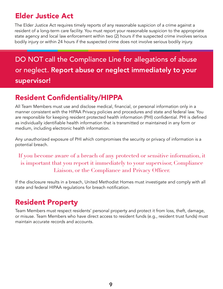## Elder Justice Act

The Elder Justice Act requires timely reports of any reasonable suspicion of a crime against a resident of a long-term care facility. You must report your reasonable suspicion to the appropriate state agency and local law enforcement within two (2) hours if the suspected crime involves serious bodily injury or within 24 hours if the suspected crime does not involve serious bodily injury.

DO NOT call the Compliance Line for allegations of abuse or neglect. Report abuse or neglect immediately to your supervisor!

## Resident Confidentiality/HIPPA

All Team Members must use and disclose medical, financial, or personal information only in a manner consistent with the HIPAA Privacy policies and procedures and state and federal law. You are responsible for keeping resident protected health information (PHI) confidential. PHI is defined as individually identifiable health information that is transmitted or maintained in any form or medium, including electronic health information.

Any unauthorized exposure of PHI which compromises the security or privacy of information is a potential breach.

If you become aware of a breach of any protected or sensitive information, it is important that you report it immediately to your supervisor, Compliance Liaison, or the Compliance and Privacy Officer.

If the disclosure results in a breach, United Methodist Homes must investigate and comply with all state and federal HIPAA regulations for breach notification.

# Resident Property

Team Members must respect residents' personal property and protect it from loss, theft, damage, or misuse. Team Members who have direct access to resident funds (e.g., resident trust funds) must maintain accurate records and accounts.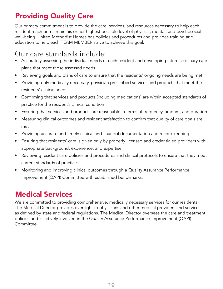### Providing Quality Care

Our primary commitment is to provide the care, services, and resources necessary to help each resident reach or maintain his or her highest possible level of physical, mental, and psychosocial well-being. United Methodist Homes has policies and procedures and provides training and education to help each TEAM MEMBER strive to achieve this goal.

## Our care standards include:

- Accurately assessing the individual needs of each resident and developing interdisciplinary care plans that meet those assessed needs
- Reviewing goals and plans of care to ensure that the residents' ongoing needs are being met;
- Providing only medically necessary, physician prescribed services and products that meet the residents' clinical needs
- Confirming that services and products (including medications) are within accepted standards of practice for the resident's clinical condition
- Ensuring that services and products are reasonable in terms of frequency, amount, and duration
- Measuring clinical outcomes and resident satisfaction to confirm that quality of care goals are met
- Providing accurate and timely clinical and financial documentation and record keeping
- Ensuring that residents' care is given only by properly licensed and credentialed providers with appropriate background, experience, and expertise
- Reviewing resident care policies and procedures and clinical protocols to ensure that they meet current standards of practice
- Monitoring and improving clinical outcomes through a Quality Assurance Performance Improvement (QAPI) Committee with established benchmarks.

# Medical Services

We are committed to providing comprehensive, medically necessary services for our residents. The Medical Director provides oversight to physicians and other medical providers and services as defined by state and federal regulations. The Medical Director oversees the care and treatment policies and is actively involved in the Quality Assurance Performance Improvement (QAPI) Committee.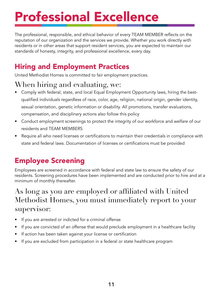# Professional Excellence

The professional, responsible, and ethical behavior of every TEAM MEMBER reflects on the reputation of our organization and the services we provide. Whether you work directly with residents or in other areas that support resident services, you are expected to maintain our standards of honesty, integrity, and professional excellence, every day.

# Hiring and Employment Practices

United Methodist Homes is committed to fair employment practices.

# When hiring and evaluating, we:

- Comply with federal, state, and local Equal Employment Opportunity laws, hiring the bestqualified individuals regardless of race, color, age, religion, national origin, gender identity, sexual orientation, genetic information or disability. All promotions, transfer evaluations, compensation, and disciplinary actions also follow this policy
- Conduct employment screenings to protect the integrity of our workforce and welfare of our residents and TEAM MEMBERS
- Require all who need licenses or certifications to maintain their credentials in compliance with state and federal laws. Documentation of licenses or certifications must be provided

# Employee Screening

Employees are screened in accordance with federal and state law to ensure the safety of our residents. Screening procedures have been implemented and are conducted prior to hire and at a minimum of monthly thereafter.

## As long as you are employed or affiliated with United Methodist Homes, you must immediately report to your supervisor:

- If you are arrested or indicted for a criminal offense
- If you are convicted of an offense that would preclude employment in a healthcare facility
- If action has been taken against your license or certification
- If you are excluded from participation in a federal or state healthcare program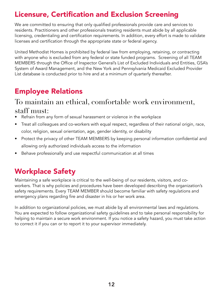## Licensure, Certification and Exclusion Screening

We are committed to ensuring that only qualified professionals provide care and services to residents. Practitioners and other professionals treating residents must abide by all applicable licensing, credentialing and certification requirements. In addition, every effort is made to validate licenses and certification through the appropriate state or federal agency.

United Methodist Homes is prohibited by federal law from employing, retaining, or contracting with anyone who is excluded from any federal or state funded programs. Screening of all TEAM MEMBERS through the Office of Inspector General's List of Excluded Individuals and Entities, GSA's System of Award Management, and the New York and Pennsylvania Medicaid Excluded Provider List database is conducted prior to hire and at a minimum of quarterly thereafter.

# Employee Relations

#### To maintain an ethical, comfortable work environment, staff must:

- Refrain from any form of sexual harassment or violence in the workplace
- Treat all colleagues and co-workers with equal respect, regardless of their national origin, race, color, religion, sexual orientation, age, gender identity, or disability
- Protect the privacy of other TEAM MEMBERS by keeping personal information confidential and allowing only authorized individuals access to the information
- Behave professionally and use respectful communication at all times

# Workplace Safety

Maintaining a safe workplace is critical to the well-being of our residents, visitors, and coworkers. That is why policies and procedures have been developed describing the organization's safety requirements. Every TEAM MEMBER should become familiar with safety regulations and emergency plans regarding fire and disaster in his or her work area.

In addition to organizational policies, we must abide by all environmental laws and regulations. You are expected to follow organizational safety guidelines and to take personal responsibility for helping to maintain a secure work environment. If you notice a safety hazard, you must take action to correct it if you can or to report it to your supervisor immediately.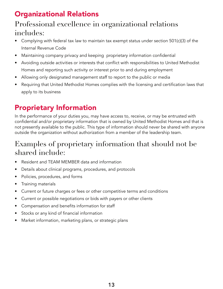# Organizational Relations

#### Professional excellence in organizational relations includes:

- Complying with federal tax law to maintain tax exempt status under section 501(c)(3) of the Internal Revenue Code
- Maintaining company privacy and keeping proprietary information confidential
- Avoiding outside activities or interests that conflict with responsibilities to United Methodist Homes and reporting such activity or interest prior to and during employment
- Allowing only designated management staff to report to the public or media
- Requiring that United Methodist Homes complies with the licensing and certification laws that apply to its business

## Proprietary Information

In the performance of your duties you, may have access to, receive, or may be entrusted with confidential and/or proprietary information that is owned by United Methodist Homes and that is not presently available to the public. This type of information should never be shared with anyone outside the organization without authorization from a member of the leadership team.

#### Examples of proprietary information that should not be shared include:

- Resident and TEAM MEMBER data and information
- Details about clinical programs, procedures, and protocols
- Policies, procedures, and forms
- Training materials
- Current or future charges or fees or other competitive terms and conditions
- Current or possible negotiations or bids with payers or other clients
- Compensation and benefits information for staff
- Stocks or any kind of financial information
- Market information, marketing plans, or strategic plans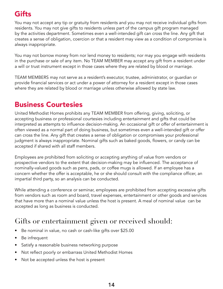# **Gifts**

You may not accept any tip or gratuity from residents and you may not receive individual gifts from residents. You may not give gifts to residents unless part of the campus gift program managed by the activities department. Sometimes even a well-intended gift can cross the line. Any gift that creates a sense of obligation, coercion or that a resident may view as a condition of compromise is always inappropriate.

You may not borrow money from nor lend money to residents; nor may you engage with residents in the purchase or sale of any item. No TEAM MEMBER may accept any gift from a resident under a will or trust instrument except in those cases where they are related by blood or marriage.

TEAM MEMBERS may not serve as a resident's executor, trustee, administrator, or guardian or provide financial services or act under a power of attorney for a resident except in those cases where they are related by blood or marriage unless otherwise allowed by state law.

#### Business Courtesies

United Methodist Homes prohibits any TEAM MEMBER from offering, giving, soliciting, or accepting business or professional courtesies including entertainment and gifts that could be interpreted as attempts to influence decision-making. An occasional gift or offer of entertainment is often viewed as a normal part of doing business, but sometimes even a well-intended gift or offer can cross the line. Any gift that creates a sense of obligation or compromises your professional judgment is always inappropriate. Nominal gifts such as baked goods, flowers, or candy can be accepted if shared with all staff members.

Employees are prohibited from soliciting or accepting anything of value from vendors or prospective vendors to the extent that decision-making may be influenced. The acceptance of nominally-valued goods such as pens, pads, or coffee mugs is allowed. If an employee has a concern whether the offer is acceptable, he or she should consult with the compliance officer, an impartial third party, so an analysis can be conducted.

While attending a conference or seminar, employees are prohibited from accepting excessive gifts from vendors such as room and board, travel expenses, entertainment or other goods and services that have more than a nominal value unless the host is present. A meal of nominal value can be accepted as long as business is conducted.

## Gifts or entertainment given or received should:

- Be nominal in value, no cash or cash-like gifts over \$25.00
- Be infrequent
- Satisfy a reasonable business networking purpose
- Not reflect poorly or embarrass United Methodist Homes
- Not be accepted unless the host is present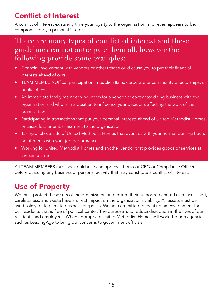# Conflict of Interest

A conflict of interest exists any time your loyalty to the organization is, or even appears to be, compromised by a personal interest.

#### There are many types of conflict of interest and these guidelines cannot anticipate them all, however the following provide some examples:

- Financial involvement with vendors or others that would cause you to put their financial interests ahead of ours
- TEAM MEMBER/Officer participation in public affairs, corporate or community directorships, or public office
- An immediate family member who works for a vendor or contractor doing business with the organization and who is in a position to influence your decisions affecting the work of the organization
- Participating in transactions that put your personal interests ahead of United Methodist Homes or cause loss or embarrassment to the organization
- Taking a job outside of United Methodist Homes that overlaps with your normal working hours or interferes with your job performance
- Working for United Methodist Homes and another vendor that provides goods or services at the same time

All TEAM MEMBERS must seek guidance and approval from our CEO or Compliance Officer before pursuing any business or personal activity that may constitute a conflict of interest.

# Use of Property

We must protect the assets of the organization and ensure their authorized and efficient use. Theft, carelessness, and waste have a direct impact on the organization's viability. All assets must be used solely for legitimate business purposes. We are committed to creating an environment for our residents that is free of political banter. The purpose is to reduce disruption in the lives of our residents and employees. When appropriate United Methodist Homes will work through agencies such as LeadingAge to bring our concerns to government officials.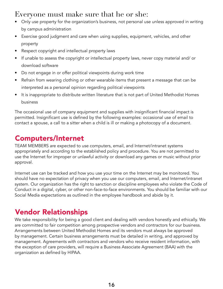#### Everyone must make sure that he or she:

- Only use property for the organization's business, not personal use unless approved in writing by campus administration
- Exercise good judgment and care when using supplies, equipment, vehicles, and other property
- Respect copyright and intellectual property laws
- If unable to assess the copyright or intellectual property laws, never copy material and/ or download software
- Do not engage in or offer political viewpoints during work time
- Refrain from wearing clothing or other wearable items that present a message that can be interpreted as a personal opinion regarding political viewpoints
- It is inappropriate to distribute written literature that is not part of United Methodist Homes business

The occasional use of company equipment and supplies with insignificant financial impact is permitted. Insignificant use is defined by the following examples: occasional use of email to contact a spouse, a call to a sitter when a child is ill or making a photocopy of a document.

# Computers/Internet

TEAM MEMBERS are expected to use computers, email, and Internet/intranet systems appropriately and according to the established policy and procedure. You are not permitted to use the Internet for improper or unlawful activity or download any games or music without prior approval.

Internet use can be tracked and how you use your time on the Internet may be monitored. You should have no expectation of privacy when you use our computers, email, and Internet/intranet system. Our organization has the right to sanction or discipline employees who violate the Code of Conduct in a digital, cyber, or other non-face-to-face environments. You should be familiar with our Social Media expectations as outlined in the employee handbook and abide by it.

## Vendor Relationships

We take responsibility for being a good client and dealing with vendors honestly and ethically. We are committed to fair competition among prospective vendors and contractors for our business. Arrangements between United Methodist Homes and its vendors must always be approved by management. Certain business arrangements must be detailed in writing, and approved by management. Agreements with contractors and vendors who receive resident information, with the exception of care providers, will require a Business Associate Agreement (BAA) with the organization as defined by HIPAA.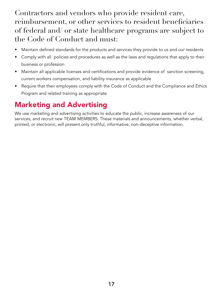Contractors and vendors who provide resident care, reimbursement, or other services to resident beneficiaries of federal and/ or state healthcare programs are subject to the Code of Conduct and must:

- Maintain defined standards for the products and services they provide to us and our residents
- Comply with all policies and procedures as well as the laws and regulations that apply to their business or profession
- Maintain all applicable licenses and certifications and provide evidence of sanction screening, current workers compensation, and liability insurance as applicable
- Require that their employees comply with the Code of Conduct and the Compliance and Ethics Program and related training as appropriate

### Marketing and Advertising

We use marketing and advertising activities to educate the public, increase awareness of our services, and recruit new TEAM MEMBERS. These materials and announcements, whether verbal, printed, or electronic, will present only truthful, informative, non-deceptive information.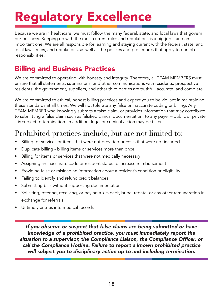# Regulatory Excellence

Because we are in healthcare, we must follow the many federal, state, and local laws that govern our business. Keeping up with the most current rules and regulations is a big job – and an important one. We are all responsible for learning and staying current with the federal, state, and local laws, rules, and regulations, as well as the policies and procedures that apply to our job responsibilities.

#### Billing and Business Practices

We are committed to operating with honesty and integrity. Therefore, all TEAM MEMBERS must ensure that all statements, submissions, and other communications with residents, prospective residents, the government, suppliers, and other third parties are truthful, accurate, and complete.

We are committed to ethical, honest billing practices and expect you to be vigilant in maintaining these standards at all times. We will not tolerate any false or inaccurate coding or billing. Any TEAM MEMBER who knowingly submits a false claim, or provides information that may contribute to submitting a false claim such as falsified clinical documentation, to any payer – public or private – is subject to termination. In addition, legal or criminal action may be taken.

## Prohibited practices include, but are not limited to:

- Billing for services or items that were not provided or costs that were not incurred
- Duplicate billing billing items or services more than once
- Billing for items or services that were not medically necessary
- Assigning an inaccurate code or resident status to increase reimbursement
- Providing false or misleading information about a resident's condition or eligibility
- Failing to identify and refund credit balances
- Submitting bills without supporting documentation
- Soliciting, offering, receiving, or paying a kickback, bribe, rebate, or any other remuneration in exchange for referrals
- Untimely entries into medical records

If you observe or suspect that false claims are being submitted or have knowledge of a prohibited practice, you must immediately report the situation to a supervisor, the Compliance Liaison, the Compliance Officer, or call the Compliance Hotline. Failure to report a known prohibited practice will subject you to disciplinary action up to and including termination.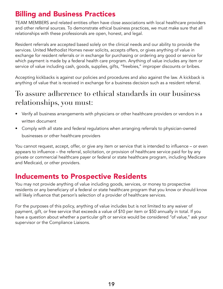#### Billing and Business Practices

TEAM MEMBERS and related entities often have close associations with local healthcare providers and other referral sources. To demonstrate ethical business practices, we must make sure that all relationships with these professionals are open, honest, and legal.

Resident referrals are accepted based solely on the clinical needs and our ability to provide the services. United Methodist Homes never solicits, accepts offers, or gives anything of value in exchange for resident referrals or in exchange for purchasing or ordering any good or service for which payment is made by a federal health care program. Anything of value includes any item or service of value including cash, goods, supplies, gifts, "freebies," improper discounts or bribes.

Accepting kickbacks is against our policies and procedures and also against the law. A kickback is anything of value that is received in exchange for a business decision such as a resident referral.

## To assure adherence to ethical standards in our business relationships, you must:

- Verify all business arrangements with physicians or other healthcare providers or vendors in a written document
- Comply with all state and federal regulations when arranging referrals to physician-owned businesses or other healthcare providers

You cannot request, accept, offer, or give any item or service that is intended to influence – or even appears to influence – the referral, solicitation, or provision of healthcare service paid for by any private or commercial healthcare payer or federal or state healthcare program, including Medicare and Medicaid, or other providers.

#### Inducements to Prospective Residents

You may not provide anything of value including goods, services, or money to prospective residents or any beneficiary of a federal or state healthcare program that you know or should know will likely influence that person's selection of a provider of healthcare services.

For the purposes of this policy, anything of value includes but is not limited to any waiver of payment, gift, or free service that exceeds a value of \$10 per item or \$50 annually in total. If you have a question about whether a particular gift or service would be considered "of value," ask your supervisor or the Compliance Liaisons.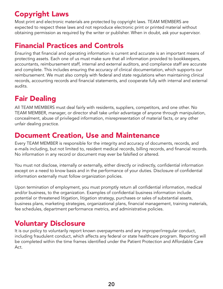## Copyright Laws

Most print and electronic materials are protected by copyright laws. TEAM MEMBERS are expected to respect these laws and not reproduce electronic print or printed material without obtaining permission as required by the writer or publisher. When in doubt, ask your supervisor.

#### Financial Practices and Controls

Ensuring that financial and operating information is current and accurate is an important means of protecting assets. Each one of us must make sure that all information provided to bookkeepers, accountants, reimbursement staff, internal and external auditors, and compliance staff are accurate and complete. This includes ensuring the accuracy of clinical documentation, which supports our reimbursement. We must also comply with federal and state regulations when maintaining clinical records, accounting records and financial statements, and cooperate fully with internal and external audits.

# Fair Dealing

All TEAM MEMBERS must deal fairly with residents, suppliers, competitors, and one other. No TEAM MEMBER, manager, or director shall take unfair advantage of anyone through manipulation, concealment, abuse of privileged information, misrepresentation of material facts, or any other unfair dealing practice.

#### Document Creation, Use and Maintenance

Every TEAM MEMBER is responsible for the integrity and accuracy of documents, records, and e-mails including, but not limited to, resident medical records, billing records, and financial records. No information in any record or document may ever be falsified or altered.

You must not disclose, internally or externally, either directly or indirectly, confidential information except on a need to know basis and in the performance of your duties. Disclosure of confidential information externally must follow organization policies.

Upon termination of employment, you must promptly return all confidential information, medical and/or business, to the organization. Examples of confidential business information include potential or threatened litigation, litigation strategy, purchases or sales of substantial assets, business plans, marketing strategies, organizational plans, financial management, training materials, fee schedules, department performance metrics, and administrative policies.

## Voluntary Disclosure

It is our policy to voluntarily report known overpayments and any improper/irregular conduct, including fraudulent conduct, which affects any federal or state healthcare program. Reporting will be completed within the time frames identified under the Patient Protection and Affordable Care Act.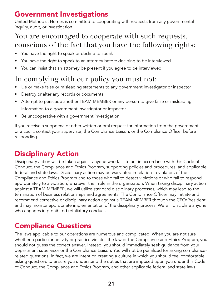#### Government Investigations

United Methodist Homes is committed to cooperating with requests from any governmental inquiry, audit, or investigation.

#### You are encouraged to cooperate with such requests, conscious of the fact that you have the following rights:

- You have the right to speak or decline to speak
- You have the right to speak to an attorney before deciding to be interviewed
- You can insist that an attorney be present if you agree to be interviewed

# In complying with our policy you must not:

- Lie or make false or misleading statements to any government investigator or inspector
- Destroy or alter any records or documents
- Attempt to persuade another TEAM MEMBER or any person to give false or misleading information to a government investigator or inspector
- Be uncooperative with a government investigation

If you receive a subpoena or other written or oral request for information from the government or a court, contact your supervisor, the Compliance Liaison, or the Compliance Officer before responding.

# Disciplinary Action

Disciplinary action will be taken against anyone who fails to act in accordance with this Code of Conduct, the Compliance and Ethics Program, supporting policies and procedures, and applicable federal and state laws. Disciplinary action may be warranted in relation to violators of the Compliance and Ethics Program and to those who fail to detect violations or who fail to respond appropriately to a violation, whatever their role in the organization. When taking disciplinary action against a TEAM MEMBER, we will utilize standard disciplinary processes, which may lead to the termination of business relationships and agreements. The Compliance Officer may initiate and recommend corrective or disciplinary action against a TEAM MEMBER through the CEO/President and may monitor appropriate implementation of the disciplinary process. We will discipline anyone who engages in prohibited retaliatory conduct.

# Compliance Questions

The laws applicable to our operations are numerous and complicated. When you are not sure whether a particular activity or practice violates the law or the Compliance and Ethics Program, you should not guess the correct answer. Instead, you should immediately seek guidance from your department supervisor or the Compliance Liaison. You will not be penalized for asking compliancerelated questions. In fact, we are intent on creating a culture in which you should feel comfortable asking questions to ensure you understand the duties that are imposed upon you under this Code of Conduct, the Compliance and Ethics Program, and other applicable federal and state laws.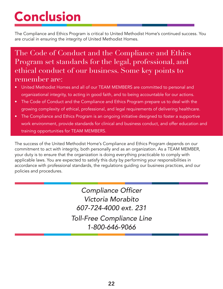# **Conclusion**

The Compliance and Ethics Program is critical to United Methodist Home's continued success. You are crucial in ensuring the integrity of United Methodist Homes.

#### The Code of Conduct and the Compliance and Ethics Program set standards for the legal, professional, and ethical conduct of our business. Some key points to remember are:

- United Methodist Homes and all of our TEAM MEMBERS are committed to personal and organizational integrity, to acting in good faith, and to being accountable for our actions.
- The Code of Conduct and the Compliance and Ethics Program prepare us to deal with the growing complexity of ethical, professional, and legal requirements of delivering healthcare.
- The Compliance and Ethics Program is an ongoing initiative designed to foster a supportive work environment, provide standards for clinical and business conduct, and offer education and training opportunities for TEAM MEMBERS.

The success of the United Methodist Home's Compliance and Ethics Program depends on our commitment to act with integrity, both personally and as an organization. As a TEAM MEMBER, your duty is to ensure that the organization is doing everything practicable to comply with applicable laws. You are expected to satisfy this duty by performing your responsibilities in accordance with professional standards, the regulations guiding our business practices, and our policies and procedures.

> Compliance Officer Victoria Morabito *607-724-4000 ext. 231* Toll-Free Compliance Line *1-800-646-9066*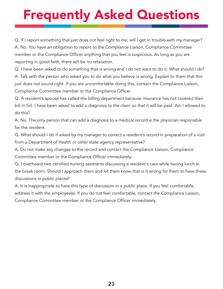# Frequently Asked Questions

Q. If I report something that just does not feel right to me, will I get in trouble with my manager? A. No. You have an obligation to report to the Compliance Liaison, Compliance Committee member or the Compliance Officer anything that you feel is suspicious. As long as you are reporting in good faith, there will be no retaliation.

Q. I have been asked to do something that is wrong and I do not want to do it. What should I do? A. Talk with the person who asked you to do what you believe is wrong. Explain to them that this just does not sound right. If you are uncomfortable doing this, contact the Compliance Liaison, Compliance Committee member or the Compliance Officer.

Q. A resident's spouse has called the billing department because insurance has not covered their bill in full. I have been asked to add a diagnosis to the claim so that it will be paid. Am I allowed to do this?

A. No. The only person that can add a diagnosis to a medical record is the physician responsible for the resident.

Q. What should I do if asked by my manager to correct a resident's record in preparation of a visit from a Department of Health or other state agency representative?

A. Do not make any changes to the record and contact the Compliance Liaison, Compliance Committee member or the Compliance Officer immediately.

Q. I overheard two certified nursing assistants discussing a resident's care while having lunch in the break room. Should I approach them and let them know that is it wrong for them to have these discussions in public places?

A. It is inappropriate to have this type of discussion in a public place. If you feel comfortable, address it with the employee(s). If you do not feel comfortable, contact the Compliance Liaison, Compliance Committee member or the Compliance Officer immediately.